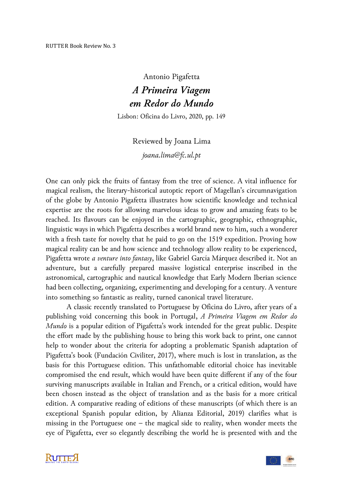## Antonio Pigafetta *A Primeira Viagem em Redor do Mundo*

Lisbon: Oficina do Livro, 2020, pp. 149

Reviewed by Joana Lima *joana.lima@fc.ul.pt*

One can only pick the fruits of fantasy from the tree of science. A vital influence for magical realism, the literary-historical autoptic report of Magellan's circumnavigation of the globe by Antonio Pigafetta illustrates how scientific knowledge and technical expertise are the roots for allowing marvelous ideas to grow and amazing feats to be reached. Its flavours can be enjoyed in the cartographic, geographic, ethnographic, linguistic ways in which Pigafetta describes a world brand new to him, such a wonderer with a fresh taste for novelty that he paid to go on the 1519 expedition. Proving how magical reality can be and how science and technology allow reality to be experienced, Pigafetta wrote *a venture into fantasy*, like Gabriel García Márquez described it. Not an adventure, but a carefully prepared massive logistical enterprise inscribed in the astronomical, cartographic and nautical knowledge that Early Modern Iberian science had been collecting, organizing, experimenting and developing for a century. A venture into something so fantastic as reality, turned canonical travel literature.

A classic recently translated to Portuguese by Oficina do Livro, after years of a publishing void concerning this book in Portugal, *A Primeira Viagem em Redor do Mundo* is a popular edition of Pigafetta's work intended for the great public. Despite the effort made by the publishing house to bring this work back to print, one cannot help to wonder about the criteria for adopting a problematic Spanish adaptation of Pigafetta's book (Fundación Civiliter, 2017), where much is lost in translation, as the basis for this Portuguese edition. This unfathomable editorial choice has inevitable compromised the end result, which would have been quite different if any of the four surviving manuscripts available in Italian and French, or a critical edition, would have been chosen instead as the object of translation and as the basis for a more critical edition. A comparative reading of editions of these manuscripts (of which there is an exceptional Spanish popular edition, by Alianza Editorial, 2019) clarifies what is missing in the Portuguese one – the magical side to reality, when wonder meets the eye of Pigafetta, ever so elegantly describing the world he is presented with and the

**KUTTEX** 

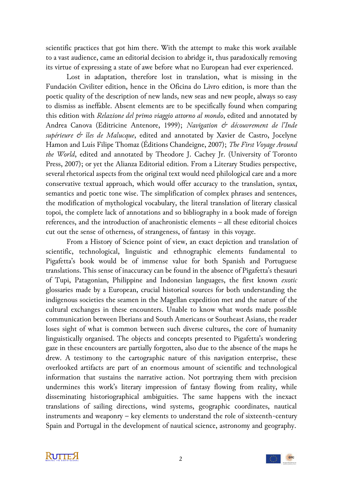scientific practices that got him there. With the attempt to make this work available to a vast audience, came an editorial decision to abridge it, thus paradoxically removing its virtue of expressing a state of awe before what no European had ever experienced.

Lost in adaptation, therefore lost in translation, what is missing in the Fundación Civiliter edition, hence in the Oficina do Livro edition, is more than the poetic quality of the description of new lands, new seas and new people, always so easy to dismiss as ineffable. Absent elements are to be specifically found when comparing this edition with *Relazione del primo viaggio attorno al mondo*, edited and annotated by Andrea Canova (Editricine Antenore, 1999); *Navigation & découvrement de l'Inde supérieure & îles de Malucque*, edited and annotated by Xavier de Castro, Jocelyne Hamon and Luís Filipe Thomaz (Éditions Chandeigne, 2007); *The First Voyage Around the World*, edited and annotated by Theodore J. Cachey Jr. (University of Toronto Press, 2007); or yet the Alianza Editorial edition. From a Literary Studies perspective, several rhetorical aspects from the original text would need philological care and a more conservative textual approach, which would offer accuracy to the translation, syntax, semantics and poetic tone wise. The simplification of complex phrases and sentences, the modification of mythological vocabulary, the literal translation of literary classical topoi, the complete lack of annotations and so bibliography in a book made of foreign references, and the introduction of anachronistic elements – all these editorial choices cut out the sense of otherness, of strangeness, of fantasy in this voyage.

From a History of Science point of view, an exact depiction and translation of scientific, technological, linguistic and ethnographic elements fundamental to Pigafetta's book would be of immense value for both Spanish and Portuguese translations. This sense of inaccuracy can be found in the absence of Pigafetta's thesauri of Tupi, Patagonian, Philippine and Indonesian languages, the first known *exotic* glossaries made by a European, crucial historical sources for both understanding the indigenous societies the seamen in the Magellan expedition met and the nature of the cultural exchanges in these encounters. Unable to know what words made possible communication between Iberians and South Americans or Southeast Asians, the reader loses sight of what is common between such diverse cultures, the core of humanity linguistically organised. The objects and concepts presented to Pigafetta's wondering gaze in these encounters are partially forgotten, also due to the absence of the maps he drew. A testimony to the cartographic nature of this navigation enterprise, these overlooked artifacts are part of an enormous amount of scientific and technological information that sustains the narrative action. Not portraying them with precision undermines this work's literary impression of fantasy flowing from reality, while disseminating historiographical ambiguities. The same happens with the inexact translations of sailing directions, wind systems, geographic coordinates, nautical instruments and weaponry – key elements to understand the role of sixteenth-century Spain and Portugal in the development of nautical science, astronomy and geography.